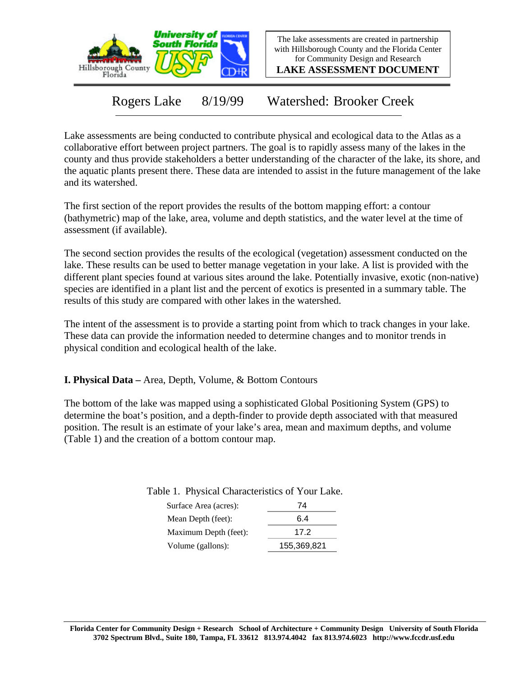

The lake assessments are created in partnership with Hillsborough County and the Florida Center for Community Design and Research

**LAKE ASSESSMENT DOCUMENT**

Rogers Lake 8/19/99 Watershed: Brooker Creek

Lake assessments are being conducted to contribute physical and ecological data to the Atlas as a collaborative effort between project partners. The goal is to rapidly assess many of the lakes in the county and thus provide stakeholders a better understanding of the character of the lake, its shore, and the aquatic plants present there. These data are intended to assist in the future management of the lake and its watershed.

The first section of the report provides the results of the bottom mapping effort: a contour (bathymetric) map of the lake, area, volume and depth statistics, and the water level at the time of assessment (if available).

The second section provides the results of the ecological (vegetation) assessment conducted on the lake. These results can be used to better manage vegetation in your lake. A list is provided with the different plant species found at various sites around the lake. Potentially invasive, exotic (non-native) species are identified in a plant list and the percent of exotics is presented in a summary table. The results of this study are compared with other lakes in the watershed.

The intent of the assessment is to provide a starting point from which to track changes in your lake. These data can provide the information needed to determine changes and to monitor trends in physical condition and ecological health of the lake.

**I. Physical Data –** Area, Depth, Volume, & Bottom Contours

The bottom of the lake was mapped using a sophisticated Global Positioning System (GPS) to determine the boat's position, and a depth-finder to provide depth associated with that measured position. The result is an estimate of your lake's area, mean and maximum depths, and volume (Table 1) and the creation of a bottom contour map.

| Surface Area (acres): | 74          |
|-----------------------|-------------|
| Mean Depth (feet):    | 6.4         |
| Maximum Depth (feet): | 17 2        |
| Volume (gallons):     | 155,369,821 |

Table 1. Physical Characteristics of Your Lake.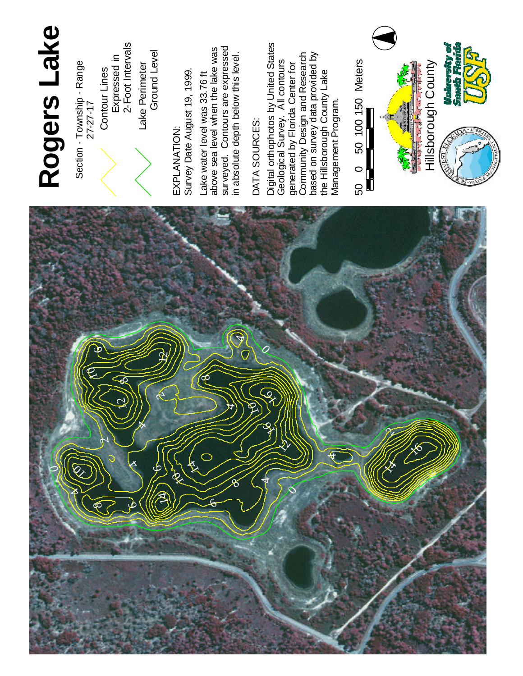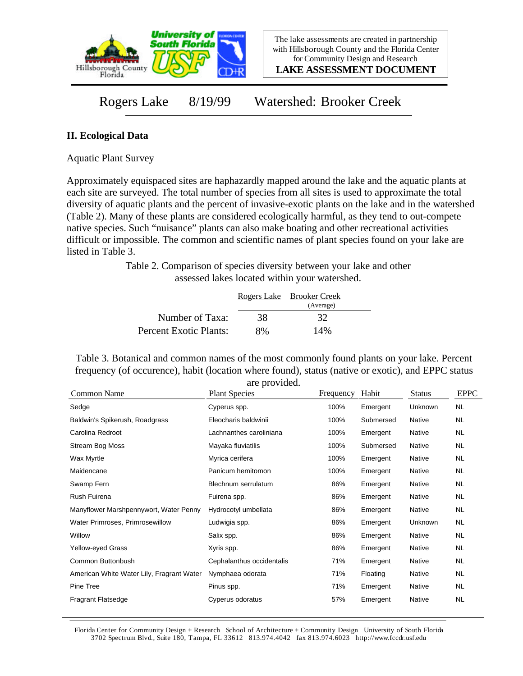

**LAKE ASSESSMENT DOCUMENT**

Rogers Lake 8/19/99 Watershed: Brooker Creek

## **II. Ecological Data**

Aquatic Plant Survey

Approximately equispaced sites are haphazardly mapped around the lake and the aquatic plants at each site are surveyed. The total number of species from all sites is used to approximate the total diversity of aquatic plants and the percent of invasive-exotic plants on the lake and in the watershed (Table 2). Many of these plants are considered ecologically harmful, as they tend to out-compete native species. Such "nuisance" plants can also make boating and other recreational activities difficult or impossible. The common and scientific names of plant species found on your lake are listed in Table 3.

> Table 2. Comparison of species diversity between your lake and other assessed lakes located within your watershed.

|                        |    | Rogers Lake Brooker Creek<br>(Average) |  |
|------------------------|----|----------------------------------------|--|
| Number of Taxa:        | 38 | 32                                     |  |
| Percent Exotic Plants: | 8% | 14%                                    |  |

Table 3. Botanical and common names of the most commonly found plants on your lake. Percent frequency (of occurence), habit (location where found), status (native or exotic), and EPPC status are provided.

| Common Name                               | <b>Plant Species</b>      | Frequency | Habit     | <b>Status</b> | <b>EPPC</b> |
|-------------------------------------------|---------------------------|-----------|-----------|---------------|-------------|
| Sedge                                     | Cyperus spp.              | 100%      | Emergent  | Unknown       | <b>NL</b>   |
| Baldwin's Spikerush, Roadgrass            | Eleocharis baldwinii      | 100%      | Submersed | Native        | NL.         |
| Carolina Redroot                          | Lachnanthes caroliniana   | 100%      | Emergent  | Native        | NL.         |
| Stream Bog Moss                           | Mayaka fluviatilis        | 100%      | Submersed | Native        | NL.         |
| Wax Myrtle                                | Myrica cerifera           | 100%      | Emergent  | Native        | NL.         |
| Maidencane                                | Panicum hemitomon         | 100%      | Emergent  | Native        | <b>NL</b>   |
| Swamp Fern                                | Blechnum serrulatum       | 86%       | Emergent  | Native        | <b>NL</b>   |
| Rush Fuirena                              | Fuirena spp.              | 86%       | Emergent  | Native        | NL.         |
| Manyflower Marshpennywort, Water Penny    | Hydrocotyl umbellata      | 86%       | Emergent  | Native        | <b>NL</b>   |
| Water Primroses, Primrosewillow           | Ludwigia spp.             | 86%       | Emergent  | Unknown       | NL.         |
| Willow                                    | Salix spp.                | 86%       | Emergent  | Native        | NL.         |
| Yellow-eyed Grass                         | Xyris spp.                | 86%       | Emergent  | Native        | NL.         |
| Common Buttonbush                         | Cephalanthus occidentalis | 71%       | Emergent  | Native        | NL.         |
| American White Water Lily, Fragrant Water | Nymphaea odorata          | 71%       | Floating  | Native        | NL.         |
| Pine Tree                                 | Pinus spp.                | 71%       | Emergent  | Native        | NL.         |
| <b>Fragrant Flatsedge</b>                 | Cyperus odoratus          | 57%       | Emergent  | Native        | <b>NL</b>   |

Florida Center for Community Design + Research School of Architecture + Community Design University of South Florida 3702 Spectrum Blvd., Suite 180, Tampa, FL 33612 813.974.4042 fax 813.974.6023 http://www.fccdr.usf.edu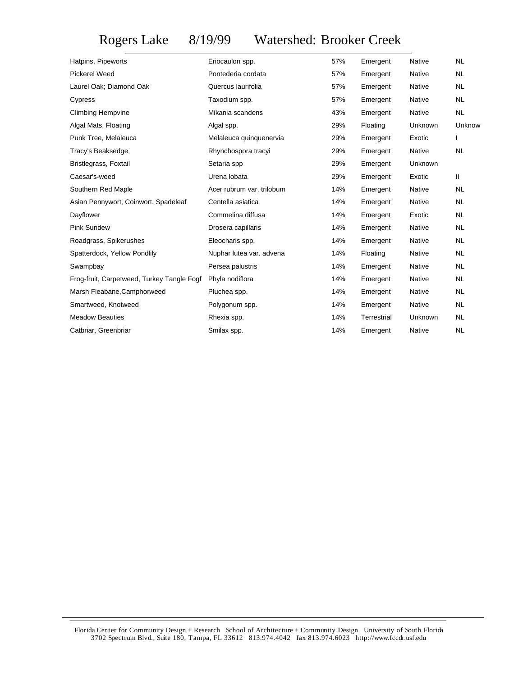## Rogers Lake 8/19/99 Watershed: Brooker Creek

| Eriocaulon spp.<br>Pontederia cordata<br>Quercus laurifolia<br>Taxodium spp.<br>Mikania scandens<br>Algal spp.<br>Melaleuca quinquenervia<br>Rhynchospora tracyi<br>Setaria spp | 57%<br>57%<br>57%<br>57%<br>43%<br>29%<br>29%<br>29% | Emergent<br>Emergent<br>Emergent<br>Emergent<br>Emergent<br>Floating<br>Emergent<br>Emergent | Native<br>Native<br>Native<br><b>Native</b><br>Native<br>Unknown<br>Exotic | <b>NL</b><br><b>NL</b><br><b>NL</b><br><b>NL</b><br><b>NL</b><br>Unknow<br>T |
|---------------------------------------------------------------------------------------------------------------------------------------------------------------------------------|------------------------------------------------------|----------------------------------------------------------------------------------------------|----------------------------------------------------------------------------|------------------------------------------------------------------------------|
|                                                                                                                                                                                 |                                                      |                                                                                              |                                                                            |                                                                              |
|                                                                                                                                                                                 |                                                      |                                                                                              |                                                                            |                                                                              |
|                                                                                                                                                                                 |                                                      |                                                                                              |                                                                            |                                                                              |
|                                                                                                                                                                                 |                                                      |                                                                                              |                                                                            |                                                                              |
|                                                                                                                                                                                 |                                                      |                                                                                              |                                                                            |                                                                              |
|                                                                                                                                                                                 |                                                      |                                                                                              |                                                                            |                                                                              |
|                                                                                                                                                                                 |                                                      |                                                                                              |                                                                            |                                                                              |
|                                                                                                                                                                                 |                                                      |                                                                                              |                                                                            | <b>NL</b>                                                                    |
|                                                                                                                                                                                 |                                                      | Emergent                                                                                     | Unknown                                                                    |                                                                              |
| Urena lobata                                                                                                                                                                    | 29%                                                  | Emergent                                                                                     | Exotic                                                                     | Ш                                                                            |
| Acer rubrum var. trilobum                                                                                                                                                       | 14%                                                  | Emergent                                                                                     | Native                                                                     | <b>NL</b>                                                                    |
| Centella asiatica                                                                                                                                                               | 14%                                                  | Emergent                                                                                     | Native                                                                     | <b>NL</b>                                                                    |
| Commelina diffusa                                                                                                                                                               | 14%                                                  | Emergent                                                                                     | Exotic                                                                     | <b>NL</b>                                                                    |
| Drosera capillaris                                                                                                                                                              | 14%                                                  | Emergent                                                                                     | Native                                                                     | <b>NL</b>                                                                    |
| Eleocharis spp.                                                                                                                                                                 | 14%                                                  | Emergent                                                                                     | Native                                                                     | <b>NL</b>                                                                    |
| Nuphar lutea var. advena                                                                                                                                                        | 14%                                                  | Floating                                                                                     | Native                                                                     | <b>NL</b>                                                                    |
| Persea palustris                                                                                                                                                                | 14%                                                  | Emergent                                                                                     | Native                                                                     | <b>NL</b>                                                                    |
| Phyla nodiflora                                                                                                                                                                 | 14%                                                  | Emergent                                                                                     | Native                                                                     | <b>NL</b>                                                                    |
| Pluchea spp.                                                                                                                                                                    | 14%                                                  | Emergent                                                                                     | Native                                                                     | <b>NL</b>                                                                    |
| Polygonum spp.                                                                                                                                                                  | 14%                                                  | Emergent                                                                                     | Native                                                                     | <b>NL</b>                                                                    |
| Rhexia spp.                                                                                                                                                                     | 14%                                                  | Terrestrial                                                                                  | Unknown                                                                    | <b>NL</b>                                                                    |
| Smilax spp.                                                                                                                                                                     | 14%                                                  | Emergent                                                                                     | Native                                                                     | <b>NL</b>                                                                    |
|                                                                                                                                                                                 |                                                      | 29%                                                                                          |                                                                            | Native                                                                       |

Florida Center for Community Design + Research School of Architecture + Community Design University of South Florida 3702 Spectrum Blvd., Suite 180, Tampa, FL 33612 813.974.4042 fax 813.974.6023 http://www.fccdr.usf.edu